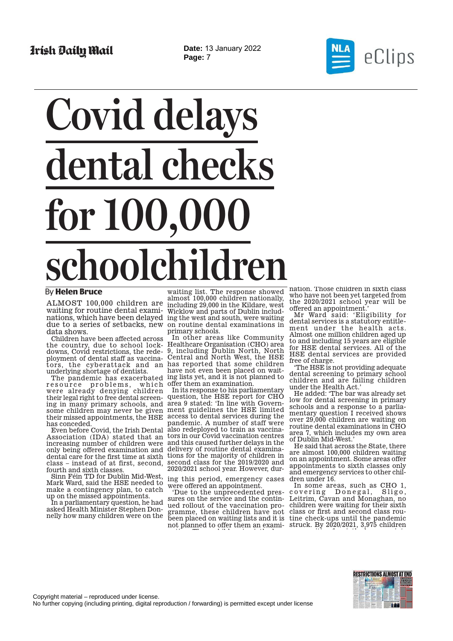**Date:** 13 January 2022 **Page:** 7



## **Covid delays dental checks for 100,000** schoolchil

## By **Helen Bruce**

ALMOST 100,000 children are waiting for routine dental examinations, which have been delayed ing the west and south, were waiting due to a series of setbacks, new data shows.

Children have been affected across the country, due to school lockdowns, Covid restrictions, the redeployment of dental staff as vaccinators, the cyberattack and an underlying shortage of dentists.

resource problems, which were already denying children their legal right to free dental screening in many primary schools, and some children may never be given their missed appointments, the HSE has conceded.

Even before Covid, the Irish Dental Association (IDA) stated that an increasing number of children were only being offered examination and dental care for the first time at sixth class – instead of at first, second, fourth and sixth classes.

Sinn Féin TD for Dublin Mid-West, Mark Ward, said the HSE needed to make a contingency plan, to catch up on the missed appointments.

In a parliamentary question, he had asked Health Minister Stephen Donnelly how many children were on the

waiting list. The response showed almost 100,000 children nationally, including 29,000 in the Kildare, west Wicklow and parts of Dublin includon routine dental examinations in primary schools.

The pandemic has exacerbated ing lists yet, and it is not planned to In other areas like Community Healthcare Organisation (CHO) area 9, including Dublin North, North Central and North West, the HSE has reported that some children have not even been placed on waitwhich offer them an examination.

In its response to his parliamentar question, the HSE report for CHO area 9 stated: 'In line with Government guidelines the HSE limited access to dental services during the pandemic. A number of staff were also redeployed to train as vaccinators in our Covid vaccination centres and this caused further delays in the delivery of routine dental examinations for the majority of children in second class for the 2019/2020 and 2020/2021 school year. However, dur-

ing this period, emergency cases were offered an appointment.

'Due to the unprecedented pressures on the service and the continued rollout of the vaccination programme, these children have not been placed on waiting lists and it is not planned to offer them an examiti The third in the l

nation. Those children in sixth class who have not been yet targeted from the 2020/2021 school year will be offered an appointment.'

Mr Ward said: 'Eligibility for dental services is a statutory entitlement under the health acts. Almost one million children aged up to and including 15 years are eligible for HSE dental services. All of the HSE dental services are provided free of charge.

'The HSE is not providing adequate dental screening to primary school children and are failing children under the Health Act.'

He added: 'The bar was already set low for dental screening in primary schools and a response to a parliamentary question I received shows over 29,000 children are waiting on routine dental examinations in CHO area 7, which includes my own area of Dublin Mid-West.'

He said that across the State, there are almost 100,000 children waiting on an appointment. Some areas offer appointments to sixth classes only and emergency services to other children under 16.

In some areas, such as CHO 1, covering Donegal, Sligo, Leitrim, Cavan and Monaghan, no children were waiting for their sixth class or first and second class routine check-ups until the pandemic struck. By 2020/2021, 3,975 children

iti f i th l i t